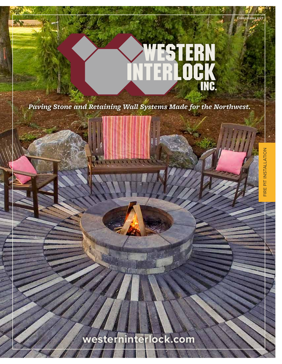# **WESTERN**<br>NTERLOCK

*Paving Stone and Retaining Wall Systems Made for the Northwest.*

**westerninterlock.com**

*Colossians 3:17*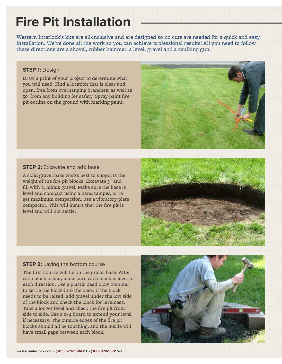# **Fire Pit Installation**

Western Interlock's kits are all-inclusive and are designed so no cuts are needed for a quick and easy installation. We've done all the work so you can achieve professional results! All you need to follow these directions are a shovel, rubber hammer, a level, gravel and a caulking gun.

### **STEP 1:** Design

Draw a print of your project to determine what you will need. Find a location that is clear and open, free from overhanging branches; as well as 50' from any building for safety. Spray paint fire pit outline on the ground with marking paint.



### **STEP 2: Excavate and add base**

A solid gravel base works best to supports the weight of the fire pit blocks. Excavate 3" and fill with  $\frac{3}{4}$  minus gravel. Make sure the base is level and compact using a hand tamper, or to get maximum compaction, use a vibratory plate compactor. This will insure that the fire pit is level and will not settle.



### **STEP 3: Laying the bottom course**

The first course will lie on the gravel base. After each block is laid, make sure each block is level in each direction. Use a plastic dead blow hammer to settle the block into the base. If the block needs to be raised, add gravel under the low side of the block and check the block for levelness. Take a longer level and check the fire pit from side to side. Use a 2×4 board to extend your level if necessary. The outside edges of the fire pit blocks should all be touching, and the inside will have small gaps between each block.

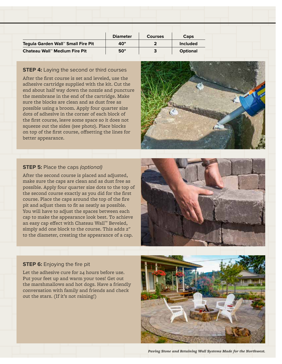|                                    | <b>Diameter</b> | <b>Courses</b> | Caps            |
|------------------------------------|-----------------|----------------|-----------------|
| Tegula Garden Wall™ Small Fire Pit | 40"             |                | <b>Included</b> |
| Chateau Wall™ Medium Fire Pit      | 50"             |                | <b>Optional</b> |

### **STEP 4:** Laying the second or third courses

After the first course is set and leveled, use the adhesive cartridge supplied with the kit. Cut the end about half way down the nozzle and puncture the membrane in the end of the cartridge. Make sure the blocks are clean and as dust free as possible using a broom. Apply four quarter size dots of adhesive in the corner of each block of the first course, leave some space so it does not squeeze out the sides (see photo). Place blocks on top of the first course, offsetting the lines for better appearance.



### **STEP 5: Place the caps (optional)**

After the second course is placed and adjusted, make sure the caps are clean and as dust free as possible. Apply four quarter size dots to the top of the second course exactly as you did for the first course. Place the caps around the top of the fire pit and adjust them to fit as neatly as possible. You will have to adjust the spaces between each cap to make the appearance look best. To achieve an easy cap effect with Chateau Wall™ Beveled, simply add one block to the course. This adds 2" to the diameter, creating the appearance of a cap.



### **STEP 6:** Enjoying the fire pit

Let the adhesive cure for 24 hours before use. Put your feet up and warm your toes! Get out the marshmallows and hot dogs. Have a friendly conversation with family and friends and check out the stars. (If it's not raining!)



*Paving Stone and Retaining Wall Systems Made for the Northwest.*